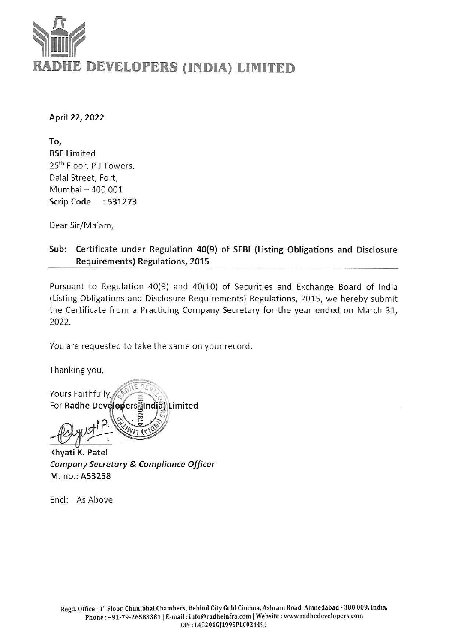# $\sum_{i=1}^{n}$ RADHE DEVELOPERS (INDIA) LIMITED

April 22, 2022

To, BSE Limited 25<sup>th</sup> Floor, PJ Towers, Dalal Street, Fort, Mumbai — 400 001 Scrip Code: 531273

Dear Sir/Ma'am,

#### Sub: Certificate under Regulation 40(9) of SEBI (Listing Obligations and Disclosure Requirements) Regulations, 2015

Pursuant to Regulation 40(9) and 40(10) of Securities and Exchange Board of India (Listing Obligations and Disclosure Requirements) Regulations, 2015, we hereby submit the Certificate from a Practicing Company Secretary for the year ended on March 31, 2022.

You are requested to take the same on your record.

Thanking you,

Yours Faithfully, 3 1) Limited

Khyati K. Patel Company Secretary & Compliance Officer M. no.: A53258

Encl: As Above